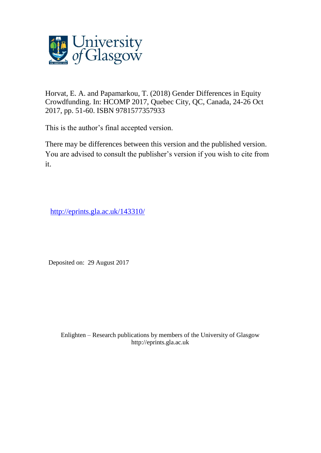

Horvat, E. A. and Papamarkou, T. (2018) Gender Differences in Equity Crowdfunding. In: HCOMP 2017, Quebec City, QC, Canada, 24-26 Oct 2017, pp. 51-60. ISBN 9781577357933

This is the author's final accepted version.

There may be differences between this version and the published version. You are advised to consult the publisher's version if you wish to cite from it.

<http://eprints.gla.ac.uk/143310/>

Deposited on: 29 August 2017

Enlighten – Research publications by members of the University of Glasgo[w](http://eprints.gla.ac.uk/) [http://eprints.gla.ac.uk](http://eprints.gla.ac.uk/)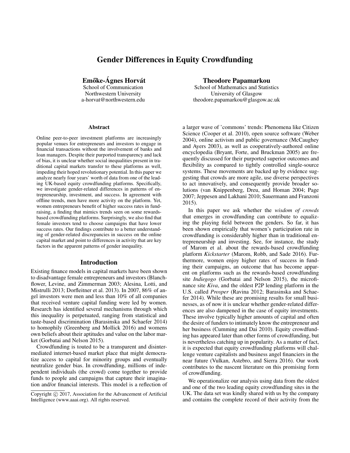# Gender Differences in Equity Crowdfunding

Emőke-Ágnes Horvát

School of Communication Northwestern University a-horvat@northwestern.edu

#### **Abstract**

Online peer-to-peer investment platforms are increasingly popular venues for entrepreneurs and investors to engage in financial transactions without the involvement of banks and loan managers. Despite their purported transparency and lack of bias, it is unclear whether social inequalities present in traditional capital markets transfer to these platforms as well, impeding their hoped revolutionary potential. In this paper we analyze nearly four years' worth of data from one of the leading UK-based equity crowdfunding platforms. Specifically, we investigate gender-related differences in patterns of entrepreneurship, investment, and success. In agreement with offline trends, men have more activity on the platform. Yet, women entrepreneurs benefit of higher success rates in fundraising, a finding that mimics trends seen on some rewardsbased crowdfunding platforms. Surprisingly, we also find that female investors tend to choose campaigns that have lower success rates. Our findings contribute to a better understanding of gender-related discrepancies in success on the online capital market and point to differences in activity that are key factors in the apparent patterns of gender inequality.

# Introduction

Existing finance models in capital markets have been shown to disadvantage female entrepreneurs and investors (Blanchflower, Levine, and Zimmerman 2003; Alesina, Lotti, and Mistrulli 2013; Dorfleitner et al. 2013). In 2007, 86% of angel investors were men and less than 10% of all companies that received venture capital funding were led by women. Research has identified several mechanisms through which this inequality is perpetuated, ranging from statistical and taste-based discrimination (Barasinska and Schaefer 2014) to homophily (Greenberg and Mollick 2016) and womens own beliefs about their aptitudes and value on the labor market (Gorbatai and Nelson 2015).

Crowdfunding is touted to be a transparent and disintermediated internet-based market place that might democratize access to capital for minority groups and eventually neutralize gender bias. In crowdfunding, millions of independent individuals (the crowd) come together to provide funds to people and campaigns that capture their imagination and/or financial interests. This model is a reflection of

Theodore Papamarkou

School of Mathematics and Statistics University of Glasgow theodore.papamarkou@glasgow.ac.uk

a larger wave of 'commons' trends: Phenomena like Citizen Science (Cooper et al. 2010), open source software (Weber 2004), online activism and public governance (McCaughey and Ayers 2003), as well as cooperatively-authored online encyclopedia (Bryant, Forte, and Bruckman 2005) are frequently discussed for their purported superior outcomes and flexibility as compared to tightly controlled single-source systems. These movements are backed up by evidence suggesting that crowds are more agile, use diverse perspectives to act innovatively, and consequently provide broader solutions (van Knippenberg, Dreu, and Homan 2004; Page 2007; Jeppesen and Lakhani 2010; Sauermann and Franzoni 2015).

In this paper we ask whether the *wisdom of crowds* that emerges in crowdfunding can contribute to equalizing the playing field between the genders. So far, it has been shown empirically that women's participation rate in crowdfunding is considerably higher than in traditional entrepreneurship and investing. See, for instance, the study of Marom et al. about the rewards-based crowdfunding platform *Kickstarter* (Marom, Robb, and Sade 2016). Furthermore, women enjoy higher rates of success in funding their campaigns, an outcome that has become apparent on platforms such as the rewards-based crowdfunding site *Indiegogo* (Gorbatai and Nelson 2015), the microfinance site *Kiva*, and the oldest P2P lending platform in the U.S. called *Prosper* (Ravina 2012; Barasinska and Schaefer 2014). While these are promising results for small businesses, as of now it is unclear whether gender-related differences are also dampened in the case of equity investments. These involve typically higher amounts of capital and often the desire of funders to intimately know the entrepreneur and her business (Cumming and Dai 2010). Equity crowdfunding has appeared later than other forms of crowdfunding, but is nevertheless catching up in popularity. As a matter of fact, it is expected that equity crowdfunding platforms will challenge venture capitalists and business angel financiers in the near future (Vulkan, Astebro, and Sierra 2016). Our work contributes to the nascent literature on this promising form of crowdfunding.

We operationalize our analysis using data from the oldest and one of the two leading equity crowdfunding sites in the UK. The data set was kindly shared with us by the company and contains the complete record of their activity from the

Copyright (c) 2017, Association for the Advancement of Artificial Intelligence (www.aaai.org). All rights reserved.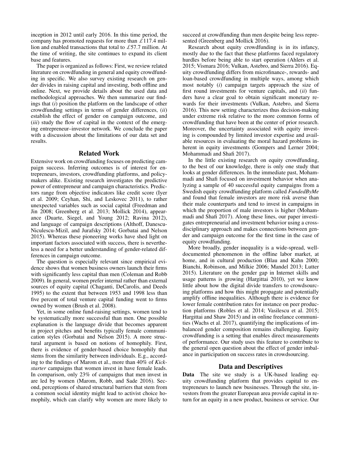inception in 2012 until early 2016. In this time period, the company has promoted requests for more than  $\pounds$ 117.4 million and enabled transactions that total to £57.7 million. At the time of writing, the site continues to expand its client base and features.

The paper is organized as follows: First, we review related literature on crowdfunding in general and equity crowdfunding in specific. We also survey existing research on gender divides in raising capital and investing, both offline and online. Next, we provide details about the used data and methodological approaches. We then summarize our findings that (*i*) position the platform on the landscape of other crowdfunding settings in terms of gender differences, (*ii*) establish the effect of gender on campaign outcome, and (*iii*) study the flow of capital in the context of the emerging entrepreneur–investor network. We conclude the paper with a discussion about the limitations of our data set and results.

#### Related Work

Extensive work on crowdfunding focuses on predicting campaign success. Inferring outcomes is of interest for entrepreneurs, investors, crowdfunding platforms, and policymakers alike. Existing research investigates the predictive power of entrepreneur and campaign characteristics. Predictors range from objective indicators like credit score (Iyer et al. 2009; Ceyhan, Shi, and Leskovec 2011), to rather unexpected variables such as social capital (Freedman and Jin 2008; Greenberg et al. 2013; Mollick 2014), appearance (Duarte, Siegel, and Young 2012; Ravina 2012), and language of campaign descriptions (Althoff, Danescu-Niculescu-Mizil, and Jurafsky 2014; Gorbatai and Nelson 2015). Whereas these pioneering works have shed light on important factors associated with success, there is nevertheless a need for a better understanding of gender-related differences in campaign outcome.

The question is especially relevant since empirical evidence shows that women business owners launch their firms with significantly less capital than men (Coleman and Robb 2009). In general, women prefer internal rather than external sources of equity capital (Chaganti, DeCarolis, and Deeds 1995) to the extent that between 1953 and 1998 less than five percent of total venture capital funding went to firms owned by women (Brush et al. 2008).

Yet, in some online fund-raising settings, women tend to be systematically more successful than men. One possible explanation is the language divide that becomes apparent in project pitches and benefits typically female communication styles (Gorbatai and Nelson 2015). A more structural argument is based on notions of homophily. First, there is evidence of gender-based choice homophily that stems from the similarity between individuals. E.g., according to the findings of Marom et al., more than 40% of *Kickstarter* campaigns that women invest in have female leads. In comparison, only 23% of campaigns that men invest in are led by women (Marom, Robb, and Sade 2016). Second, perceptions of shared structural barriers that stem from a common social identity might lead to activist choice homophily, which can clarify why women are more likely to

succeed at crowdfunding than men despite being less represented (Greenberg and Mollick 2016).

Research about equity crowdfunding is in its infancy, mostly due to the fact that these platforms faced regulatory hurdles before being able to start operation (Ahlers et al. 2015; Vismara 2016; Vulkan, Astebro, and Sierra 2016). Equity crowdfunding differs from microfinance-, rewards- and loan-based crowdfunding in multiple ways, among which most notably (*i*) campaign targets approach the size of first round investments for venture capitals, and (*ii*) funders have a clear goal to obtain significant monetary rewards for their investments (Vulkan, Astebro, and Sierra 2016). This new setting characterizes thus decision-making under extreme risk relative to the more common forms of crowdfunding that have been at the center of prior research. Moreover, the uncertainty associated with equity investing is compounded by limited investor expertise and available resources in evaluating the moral hazard problems inherent in equity investments (Gompers and Lerner 2004; Mohammadi and Shafi 2017).

In the little existing research on equity crowdfunding, to the best of our knowledge, there is only one study that looks at gender differences. In the immediate past, Mohammadi and Shafi focused on investment behavior when analyzing a sample of 40 successful equity campaigns from a Swedish equity crowdfunding platform called *FundedByMe* and found that female investors are more risk averse than their male counterparts and tend to invest in campaigns in which the proportion of male investors is higher (Mohammadi and Shafi 2017). Along these lines, our paper investigates entrepreneurial and investment behavior using a crossdisciplinary approach and makes connections between gender and campaign outcome for the first time in the case of equity crowdfunding.

More broadly, gender inequality is a wide-spread, welldocumented phenomenon in the offline labor market, at home, and in cultural production (Blau and Kahn 2000; Bianchi, Robinson, and Milkie 2006; Mandel 2013; Lutter 2015). Literature on the gender gap in Internet skills and usage patterns is growing (Hargittai 2010), yet we know little about how the digital divide transfers to crowdsourcing platforms and how this might propagate and potentially amplify offline inequalities. Although there is evidence for lower female contribution rates for instance on peer production platforms (Robles et al. 2014; Vasilescu et al. 2015; Hargittai and Shaw 2015) and in online freelance communities (Wachs et al. 2017), quantifying the implications of imbalanced gender composition remains challenging. Equity crowdfunding is a setting that enables direct measurements of performance. Our study uses this feature to contribute to the general open question about the effect of gender imbalance in participation on success rates in crowdsourcing.

# Data and Descriptives

Data The site we study is a UK-based leading equity crowdfunding platform that provides capital to entrepreneurs to launch new businesses. Through the site, investors from the greater European area provide capital in return for an equity in a new product, business or service. Our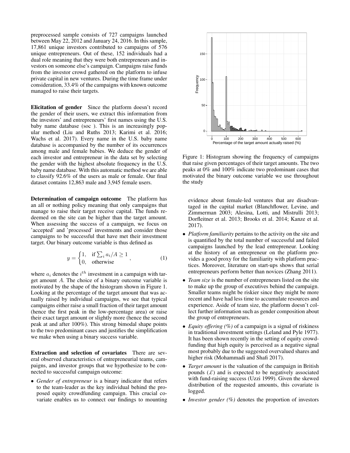preprocessed sample consists of 727 campaigns launched between May 22, 2012 and January 24, 2016. In this sample, 17,861 unique investors contributed to campaigns of 576 unique entrepreneurs. Out of these, 152 individuals had a dual role meaning that they were both entrepreneurs and investors on someone else's campaign. Campaigns raise funds from the investor crowd gathered on the platform to infuse private capital in new ventures. During the time frame under consideration, 33.4% of the campaigns with known outcome managed to raise their targets.

Elicitation of gender Since the platform doesn't record the gender of their users, we extract this information from the investors' and entrepreneurs' first names using the U.S. baby name database (soc ). This is an increasingly popular method (Liu and Ruths 2013; Karimi et al. 2016; Wachs et al. 2017). Every name in the U.S. baby name database is accompanied by the number of its occurrences among male and female babies. We deduce the gender of each investor and entrepreneur in the data set by selecting the gender with the highest absolute frequency in the U.S. baby name database. With this automatic method we are able to classify 92.6% of the users as male or female. Our final dataset contains 12,863 male and 3,945 female users.

Determination of campaign outcome The platform has an all or nothing policy meaning that only campaigns that manage to raise their target receive capital. The funds redeemed on the site can be higher than the target amount. When assessing the success of a campaign, we focus on 'accepted' and 'processed' investments and consider those campaigns to be successful that have met their investment target. Our binary outcome variable is thus defined as

$$
y = \begin{cases} 1, & \text{if } \sum_{i} a_i / A \ge 1 \\ 0, & \text{otherwise} \end{cases}, \tag{1}
$$

where  $a_i$  denotes the  $i<sup>th</sup>$  investment in a campaign with target amount A. The choice of a binary outcome variable is motivated by the shape of the histogram shown in Figure 1. Looking at the percentage of the target amount that was actually raised by individual campaigns, we see that typical campaigns either raise a small fraction of their target amount (hence the first peak in the low-percentage area) or raise their exact target amount or slightly more (hence the second peak at and after 100%). This strong bimodal shape points to the two predominant cases and justifies the simplification we make when using a binary success variable.

Extraction and selection of covariates There are several observed characteristics of entrepreneurial teams, campaigns, and investor groups that we hypothesize to be connected to successful campaign outcome:

• *Gender of entrepreneur* is a binary indicator that refers to the team-leader as the key individual behind the proposed equity crowdfunding campaign. This crucial covariate enables us to connect our findings to mounting



Figure 1: Histogram showing the frequency of campaigns that raise given percentages of their target amounts. The two peaks at 0% and 100% indicate two predominant cases that motivated the binary outcome variable we use throughout the study

evidence about female-led ventures that are disadvantaged in the capital market (Blanchflower, Levine, and Zimmerman 2003; Alesina, Lotti, and Mistrulli 2013; Dorfleitner et al. 2013; Brooks et al. 2014; Kanze et al. 2017).

- *Platform familiarity* pertains to the activity on the site and is quantified by the total number of successful and failed campaigns launched by the lead entrepreneur. Looking at the history of an entrepreneur on the platform provides a good proxy for the familiarity with platform practices. Moreover, literature on start-ups shows that serial entrepreneurs perform better than novices (Zhang 2011).
- *Team size* is the number of entrepreneurs listed on the site to make up the group of executives behind the campaign. Smaller teams might be riskier since they might be more recent and have had less time to accumulate resources and experience. Aside of team size, the platform doesn't collect further information such as gender composition about the group of entrepreneurs.
- *Equity offering (%)* of a campaign is a signal of riskiness in traditional investment settings (Leland and Pyle 1977). It has been shown recently in the setting of equity crowdfunding that high equity is perceived as a negative signal most probably due to the suggested overvalued shares and higher risk (Mohammadi and Shafi 2017).
- *Target amount* is the valuation of the campaign in British pounds  $(f)$  and is expected to be negatively associated with fund-raising success (Uzzi 1999). Given the skewed distribution of the requested amounts, this covariate is logged.
- *Investor gender (%)* denotes the proportion of investors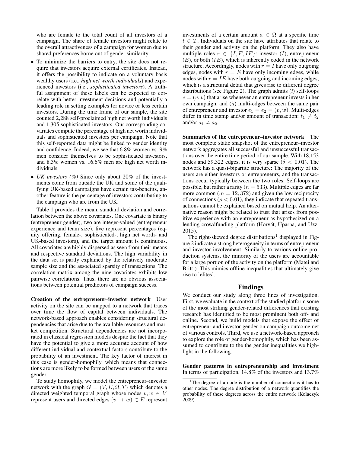who are female to the total count of all investors of a campaign. The share of female investors might relate to the overall attractiveness of a campaign for women due to shared preferences borne out of gender similarity.

- To minimize the barriers to entry, the site does not require that investors acquire external certificates. Instead, it offers the possibility to indicate on a voluntary basis wealthy users (i.e., *high net worth individuals*) and experienced investors (i.e., *sophisticated investors*). A truthful assignment of these labels can be expected to correlate with better investment decisions and potentially a leading role in setting examples for novice or less certain investors. During the time frame of our sample, the site counted 2,288 self-proclaimed high net worth individuals and 1,305 sophisticated investors. Our corresponding covariates compute the percentage of high net worth individuals and sophisticated investors per campaign. Note that this self-reported data might be linked to gender identity and confidence. Indeed, we see that 6.8% women vs. 9% men consider themselves to be sophisticated investors, and 8.3% women vs. 16.6% men are high net worth individuals.
- *UK investors (%)* Since only about 20% of the investments come from outside the UK and some of the qualifying UK-based campaigns have certain tax-benefits, another feature is the percentage of investors contributing to the campaign who are from the UK.

Table 1 provides the mean, standard deviation and correlation between the above covariates. One covariate is binary (entrepreneur gender), two are integer-valued (entrepreneur experience and team size), five represent percentages (equity offering, female-, sophisticated-, high net worth- and UK-based investors), and the target amount is continuous. All covariates are highly dispersed as seen from their means and respective standard deviations. The high variability in the data set is partly explained by the relatively moderate sample size and the associated sparsity of transactions. The correlation matrix among the nine covariates exhibits low pairwise correlations. Thus, there are no obvious associations between potential predictors of campaign success.

Creation of the entrepreneur–investor network User activity on the site can be mapped to a network that traces over time the flow of capital between individuals. The network-based approach enables considering structural dependencies that arise due to the available resources and market competition. Structural dependencies are not incorporated in classical regression models despite the fact that they have the potential to give a more accurate account of how different individual and contextual factors contribute to the probability of an investment. The key factor of interest in this case is gender-homophily, which means that connections are more likely to be formed between users of the same gender.

To study homophily, we model the entrepreneur–investor network with the graph  $G = (V, E, \Omega, T)$  which denotes a directed weighted temporal graph whose nodes  $v, w \in V$ represent users and directed edges  $(v \rightarrow w) \in E$  represent investments of a certain amount  $a \in \Omega$  at a specific time  $t \in T$ . Individuals on the site have attributes that relate to their gender and activity on the platform. They also have multiple roles  $r \in \{I, E, IE\}$ : investor (I), entrepreneur  $(E)$ , or both  $(IE)$ , which is inherently coded in the network structure. Accordingly, nodes with  $r = I$  have only outgoing edges, nodes with  $r = E$  have only incoming edges, while nodes with  $r = IE$  have both outgoing and incoming edges, which is a structural detail that gives rise to different degree distributions (see Figure 2). The graph admits (*i*) self-loops  $e = (v, v)$  that arise whenever an entrepreneur invests in her own campaign, and (*ii*) multi-edges between the same pair of entrepreneur and investor  $e_1 = e_2 = (v, w)$ . Multi-edges differ in time stamp and/or amount of transaction:  $t_1 \neq t_2$ and/or  $a_1 \neq a_2$ .

Summaries of the entrepreneur–investor network The most complete static snapshot of the entrepreneur–investor network aggregates all successful and unsuccessful transactions over the entire time period of our sample. With 18,153 nodes and 59,322 edges, it is very sparse ( $\delta$  < 0.01). The network has a quasi-bipartite structure: The majority of the users are either investors or entrepreneurs, and the transactions occur typically between the two roles. Self-loops are possible, but rather a rarity ( $n = 533$ ). Multiple edges are far more common ( $m = 12,372$ ) and given the low reciprocity of connections ( $\rho < 0.01$ ), they indicate that repeated transactions cannot be explained based on mutual help. An alternative reason might be related to trust that arises from positive experience with an entrepreneur as hypothesized on a lending crowdfunding platform (Horvát, Uparna, and Uzzi 2015).

The right-skewed degree distributions<sup>1</sup> displayed in Figure 2 indicate a strong heterogeneity in terms of entrepreneur and investor involvement. Similarly to various online production systems, the minority of the users are accountable for a large portion of the activity on the platform (Matei and Britt ). This mimics offline inequalities that ultimately give rise to 'elites'.

## Findings

We conduct our study along three lines of investigation. First, we evaluate in the context of the studied platform some of the most striking gender-related differences that existing research has identified to be most prominent both off- and online. Second, we build models that expose the effect of entrepreneur and investor gender on campaign outcome net of various controls. Third, we use a network-based approach to explore the role of gender-homophily, which has been assumed to contribute to the the gender inequalities we highlight in the following.

Gender patterns in entrepreneurship and investment In terms of participation, 14.8% of the investors and 13.7%

<sup>&</sup>lt;sup>1</sup>The degree of a node is the number of connections it has to other nodes. The degree distribution of a network quantifies the probability of these degrees across the entire network (Kolaczyk 2009).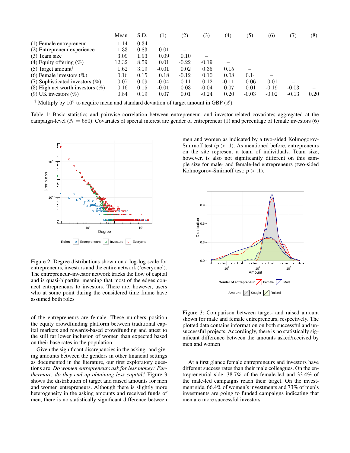|                                       | Mean     | S.D. | $\left(1\right)$ | (2)     | 3)      | $\left( 4\right)$ | (5)                      | (6)     | (7)     | (8)  |
|---------------------------------------|----------|------|------------------|---------|---------|-------------------|--------------------------|---------|---------|------|
| (1) Female entrepreneur               | 1.14     | 0.34 | -                |         |         |                   |                          |         |         |      |
| (2) Entrepreneur experience           | 1.33     | 0.83 | 0.01             |         |         |                   |                          |         |         |      |
| $(3)$ Team size                       | 3.09     | 1.93 | 0.09             | 0.10    |         |                   |                          |         |         |      |
| (4) Equity offering $(\%)$            | 12.32    | 8.59 | 0.01             | $-0.22$ | $-0.19$ |                   |                          |         |         |      |
| $(5)$ Target amount <sup>†</sup>      | $1.62\,$ | 3.19 | $-0.01$          | 0.02    | 0.35    | 0.15              | $\overline{\phantom{0}}$ |         |         |      |
| (6) Female investors $(\%)$           | 0.16     | 0.15 | 0.18             | $-0.12$ | 0.10    | 0.08              | 0.14                     |         |         |      |
| $(7)$ Sophisticated investors $(\%)$  | 0.07     | 0.09 | $-0.04$          | 0.11    | 0.12    | $-0.11$           | 0.06                     | 0.01    |         |      |
| $(8)$ High net worth investors $(\%)$ | 0.16     | 0.15 | $-0.01$          | 0.03    | $-0.04$ | 0.07              | 0.01                     | $-0.19$ | $-0.03$ |      |
| $(9)$ UK investors $(\% )$            | 0.84     | 0.19 | 0.07             | 0.01    | $-0.24$ | 0.20              | $-0.03$                  | $-0.02$ | $-0.13$ | 0.20 |

<sup>†</sup> Multiply by 10<sup>5</sup> to acquire mean and standard deviation of target amount in GBP  $(L)$ .

Table 1: Basic statistics and pairwise correlation between entrepreneur- and investor-related covariates aggregated at the campaign-level ( $N = 680$ ). Covariates of special interest are gender of entrepreneur (1) and percentage of female investors (6)



Figure 2: Degree distributions shown on a log-log scale for entrepreneurs, investors and the entire network ('everyone'). The entrepreneur–investor network tracks the flow of capital and is quasi-bipartite, meaning that most of the edges connect entrepreneurs to investors. There are, however, users who at some point during the considered time frame have assumed both roles

of the entrepreneurs are female. These numbers position the equity crowdfunding platform between traditional capital markets and rewards-based crowdfunding and attest to the still far lower inclusion of women than expected based on their base rates in the population.

Given the significant discrepancies in the asking- and giving amounts between the genders in other financial settings as documented in the literature, our first exploratory questions are: *Do women entrepreneurs ask for less money? Furthermore, do they end up obtaining less capital?* Figure 3 shows the distribution of target and raised amounts for men and women entrepreneurs. Although there is slightly more heterogeneity in the asking amounts and received funds of men, there is no statistically significant difference between

men and women as indicated by a two-sided Kolmogorov-Smirnoff test  $(p > 0.1)$ . As mentioned before, entrepreneurs on the site represent a team of individuals. Team size, however, is also not significantly different on this sample size for male- and female-led entrepreneurs (two-sided Kolmogorov-Smirnoff test:  $p > .1$ ).



Figure 3: Comparison between target- and raised amount shown for male and female entrepreneurs, respectively. The plotted data contains information on both successful and unsuccessful projects. Accordingly, there is no statistically significant difference between the amounts asked/received by men and women

At a first glance female entrepreneurs and investors have different success rates than their male colleagues. On the entrepreneurial side, 38.7% of the female-led and 33.4% of the male-led campaigns reach their target. On the investment side, 66.4% of women's investments and 73% of men's investments are going to funded campaigns indicating that men are more successful investors.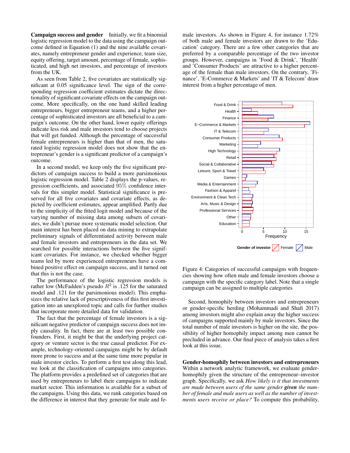Campaign success and gender Initially, we fit a binomial logistic regression model to the data using the campaign outcome defined in Equation (1) and the nine available covariates, namely entrepreneur gender and experience, team size, equity offering, target amount, percentage of female, sophisticated, and high net investors, and percentage of investors from the UK.

As seen from Table 2, five covariates are statistically significant at 0.05 significance level. The sign of the corresponding regression coefficient estimates dictate the directionality of significant covariate effects on the campaign outcome. More specifically, on the one hand skilled leading entrepreneurs, bigger entrepreneur teams, and a higher percentage of sophisticated investors are all beneficial to a campaign's outcome. On the other hand, lower equity offerings indicate less risk and male investors tend to choose projects that will get funded. Although the percentage of successful female entrepreneurs is higher than that of men, the saturated logistic regression model does not show that the entrepreneur's gender is a significant predictor of a campaign's outcome.

In a second model, we keep only the five significant predictors of campaign success to build a more parsimonious logistic regression model. Table 2 displays the p-values, regression coefficients, and associated 95% confidence intervals for this simpler model. Statistical significance is preserved for all five covariates and covariate effects, as depicted by coefficient estimates, appear amplified. Partly due to the simplicity of the fitted logit model and because of the varying number of missing data among subsets of covariates, we didn't pursue more systematic model selection. Our main interest has been placed on data mining to extrapolate preliminary signals of differentiated activity between male and female investors and entrepreneurs in the data set. We searched for possible interactions between the five significant covariates. For instance, we checked whether bigger teams led by more experienced entrepreneurs have a combined positive effect on campaign success, and it turned out that this is not the case.

The performance of the logistic regression models is rather low (McFadden's pseudo  $R^2$  is .125 for the saturated model and .121 for the parsimonious model). This emphasizes the relative lack of prescriptiveness of this first investigation into an unexplored topic and calls for further studies that incorporate more detailed data for validation.

The fact that the percentage of female investors is a significant negative predictor of campaign success does not imply causality. In fact, there are at least two possible confounders. First, it might be that the underlying project category or venture sector is the true causal predictor. For example, technology-oriented campaigns might be by default more prone to success and at the same time more popular in male investor circles. To perform a first test along this lead, we look at the classification of campaigns into categories. The platform provides a predefined set of categories that are used by entrepreneurs to label their campaigns to indicate market sector. This information is available for a subset of the campaigns. Using this data, we rank categories based on the difference in interest that they generate for male and female investors. As shown in Figure 4, for instance 1.72% of both male and female investors are drawn to the 'Education' category. There are a few other categories that are preferred by a comparable percentage of the two investor groups. However, campaigns in 'Food & Drink', 'Health' and 'Consumer Products' are attractive to a higher percentage of the female than male investors. On the contrary, 'Finance', 'E-Commerce & Markets' and 'IT & Telecom' draw interest from a higher percentage of men.



Figure 4: Categories of successful campaigns with frequencies showing how often male and female investors choose a campaign with the specific category label. Note that a single campaign can be assigned to multiple categories

Second, homophily between investors and entrepreneurs or gender-specific herding (Mohammadi and Shafi 2017) among investors might also explain away the higher success of campaigns supported mainly by male investors. Since the total number of male investors is higher on the site, the possibility of higher homophily impact among men cannot be precluded in advance. Our final piece of analysis takes a first look at this issue.

Gender-homophily between investors and entrepreneurs Within a network analytic framework, we evaluate genderhomophily given the structure of the entrepreneur–investor graph. Specifically, we ask *How likely is it that investments are made between users of the same gender given the number of female and male users as well as the number of investments users receive or place?* To compute this probability,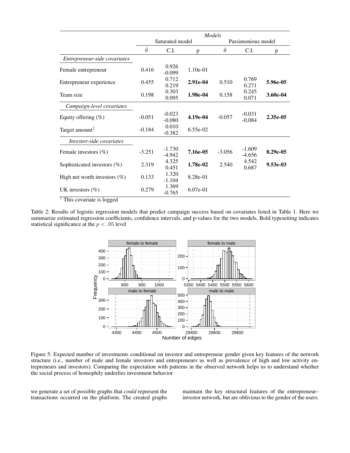|                                 | Models         |                      |            |                    |                      |            |  |  |  |
|---------------------------------|----------------|----------------------|------------|--------------------|----------------------|------------|--|--|--|
|                                 |                | Saturated model      |            | Parsimonious model |                      |            |  |  |  |
|                                 | $\hat{\theta}$ | C.I.                 | p          | $\ddot{\theta}$    | C.I.                 | p          |  |  |  |
| Entrepreneur-side covariates    |                |                      |            |                    |                      |            |  |  |  |
| Female entrepreneur             | 0.416          | 0.926<br>$-0.099$    | $1.10e-01$ |                    |                      |            |  |  |  |
| Entrepreneur experience         | 0.455          | 0.712<br>0.219       | 2.91e-04   | 0.510              | 0.769<br>0.271       | 5.96e-05   |  |  |  |
| Team size                       | 0.198          | 0.303<br>0.095       | 1.98e-04   | 0.158              | 0.245<br>0.071       | 3.60e-04   |  |  |  |
| Campaign-level covariates       |                |                      |            |                    |                      |            |  |  |  |
| Equity offering $(\%)$          | $-0.051$       | $-0.023$<br>$-0.080$ | 4.19e-04   | $-0.057$           | $-0.031$<br>$-0.084$ | 2.35e-05   |  |  |  |
| Target amount <sup>†</sup>      | $-0.184$       | 0.010<br>$-0.382$    | $6.55e-02$ |                    |                      |            |  |  |  |
| Investor-side covariates        |                |                      |            |                    |                      |            |  |  |  |
| Female investors $(\%)$         | $-3.251$       | $-1.730$<br>-4.942   | 7.16e-05   | $-3.056$           | $-1.609$<br>$-4.656$ | 8.29e-05   |  |  |  |
| Sophisticated investors $(\%)$  | 2.319          | 4.325<br>0.451       | 1.78e-02   | 2.540              | 4.542<br>0.687       | $9.53e-03$ |  |  |  |
| High net worth investors $(\%)$ | 0.133          | 1.320<br>$-1.104$    | 8.28e-01   |                    |                      |            |  |  |  |
| UK investors $(\% )$            | 0.279          | 1.369<br>$-0.765$    | $6.07e-01$ |                    |                      |            |  |  |  |

† This covariate is logged

Table 2: Results of logistic regression models that predict campaign success based on covariates listed in Table 1. Here we summarize estimated regression coefficients, confidence intervals, and p-values for the two models. Bold typesetting indicates statistical significance at the  $p < .05$  level



Figure 5: Expected number of investments conditional on investor and entrepreneur gender given key features of the network structure (i.e., number of male and female investors and entrepreneurs as well as prevalence of high and low activity entrepreneurs and investors). Comparing the expectation with patterns in the observed network helps us to understand whether the social process of homophily underlies investment behavior

we generate a set of possible graphs that *could* represent the transactions occurred on the platform. The created graphs maintain the key structural features of the entrepreneur– investor network, but are oblivious to the gender of the users.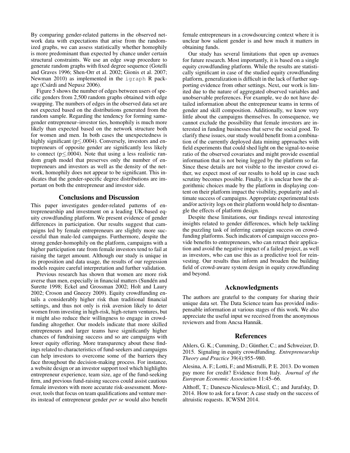By comparing gender-related patterns in the observed network data with expectations that arise from the randomized graphs, we can assess statistically whether homophily is more predominant than expected by chance under certain structural constraints. We use an edge swap procedure to generate random graphs with fixed degree sequence (Gotelli and Graves 1996; Shen-Orr et al. 2002; Gionis et al. 2007; Newman 2010) as implemented in the igraph R package (Csárdi and Nepusz 2006).

Figure 5 shows the number of edges between users of specific genders from 2,500 random graphs obtained with edge swapping. The numbers of edges in the observed data set are not expected based on the distributions generated from the random sample. Regarding the tendency for forming samegender entrepreneur–investor ties, homophily is much more likely than expected based on the network structure both for women and men. In both cases the unexpectedness is highly significant (p≤.0004). Conversely, investors and entrepreneurs of opposite gender are significantly less likely to connect (p≤.0004). Note that using a less realistic random graph model that preserves only the number of entrepreneurs and investors as well as the density of the network, homophily does not appear to be significant. This indicates that the gender-specific degree distributions are important on both the entrepreneur and investor side.

# Conclusions and Discussion

This paper investigates gender-related patterns of entrepreneurship and investment on a leading UK-based equity crowdfunding platform. We present evidence of gender differences in participation. Our results suggest that campaigns led by female entrepreneurs are slightly more successful than male-led campaigns. Furthermore, despite the strong gender-homophily on the platform, campaigns with a higher participation rate from female investors tend to fail at raising the target amount. Although our study is unique in its proposition and data usage, the results of our regression models require careful interpretation and further validation.

Previous research has shown that women are more risk averse than men, especially in financial matters (Sundén and Surette 1998; Eckel and Grossman 2002; Holt and Laury 2002; Croson and Gneezy 2009). Equity crowdfunding entails a considerably higher risk than traditional financial settings, and thus not only is risk aversion likely to deter women from investing in high-risk, high-return ventures, but it might also reduce their willingness to engage in crowdfunding altogether. Our models indicate that more skilled entrepreneurs and larger teams have significantly higher chances of fundraising success and so are campaigns with lower equity offering. More transparency about these findings related to characteristics of fund-seekers and campaigns can help investors to overcome some of the barriers they face throughout the decision-making process. For instance, a website design or an investor support tool which highlights entrepreneur experience, team size, age of the fund-seeking firm, and previous fund-raising success could assist cautious female investors with more accurate risk-assessment. Moreover, tools that focus on team qualifications and venture merits instead of entrepreneur gender *per se* would also benefit

female entrepreneurs in a crowdsourcing context where it is unclear how salient gender is and how much it matters in obtaining funds.

Our study has several limitations that open up avenues for future research. Most importantly, it is based on a single equity crowdfunding platform. While the results are statistically significant in case of the studied equity crowdfunding platform, generalization is difficult in the lack of further supporting evidence from other settings. Next, our work is limited due to the nature of aggregated observed variables and unobservable preferences. For example, we do not have detailed information about the entrepreneur teams in terms of gender and skill composition. Additionally, we know very little about the campaigns themselves. In consequence, we cannot exclude the possibility that female investors are interested in funding businesses that serve the social good. To clarify these issues, our study would benefit from a combination of the currently deployed data mining approaches with field experiments that could shed light on the signal-to-noise ratio of the observed covariates and might provide essential information that is not being logged by the platform so far. Since these details are not visible to the investor crowd either, we expect most of our results to hold up in case such scrutiny becomes possible. Finally, it is unclear how the algorithmic choices made by the platform in displaying content on their platform impact the visibility, popularity and ultimate success of campaigns. Appropriate experimental tests and/or activity logs on their platform would help to disentangle the effects of platform design.

Despite these limitations, our findings reveal interesting insights related to gender differences, which help tackling the puzzling task of inferring campaign success on crowdfunding platforms. Such indicators of campaign success provide benefits to entrepreneurs, who can retract their application and avoid the negative impact of a failed project, as well as investors, who can use this as a predictive tool for reinvesting. Our results thus inform and broaden the building field of crowd-aware system design in equity crowdfunding and beyond.

# Acknowledgments

The authors are grateful to the company for sharing their unique data set. The Data Science team has provided indispensable information at various stages of this work. We also appreciate the useful input we received from the anonymous reviewers and from Ancsa Hannák.

### References

Ahlers, G. K.; Cumming, D.; Günther, C.; and Schweizer, D. 2015. Signaling in equity crowdfunding. *Entrepreneurship Theory and Practice* 39(4):955–980.

Alesina, A. F.; Lotti, F.; and Mistrulli, P. E. 2013. Do women pay more for credit? Evidence from Italy. *Journal of the European Economic Association* 11:45–66.

Althoff, T.; Danescu-Niculescu-Mizil, C.; and Jurafsky, D. 2014. How to ask for a favor: A case study on the success of altruistic requests. ICWSM 2014.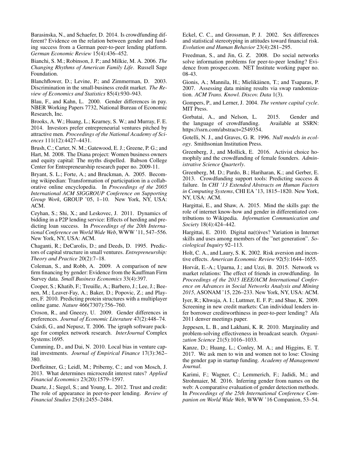Barasinska, N., and Schaefer, D. 2014. Is crowdfunding different? Evidence on the relation between gender and funding success from a German peer-to-peer lending platform. *German Economic Review* 15(4):436–452.

Bianchi, S. M.; Robinson, J. P.; and Milkie, M. A. 2006. *The Changing Rhythms of American Family Life*. Russell Sage Foundation.

Blanchflower, D.; Levine, P.; and Zimmerman, D. 2003. Discrimination in the small-business credit market. *The Review of Economics and Statistics* 85(4):930–943.

Blau, F., and Kahn, L. 2000. Gender differences in pay. NBER Working Papers 7732, National Bureau of Economic Research, Inc.

Brooks, A. W.; Huang, L.; Kearney, S. W.; and Murray, F. E. 2014. Investors prefer entrepreneurial ventures pitched by attractive men. *Proceedings of the National Academy of Sciences* 111(12):4427–4431.

Brush, C.; Carter, N. M.; Gatewood, E. J.; Greene, P. G.; and Hart, M. 2008. The Diana project: Women business owners and equity capital: The myths dispelled. Babson College Center for Entrepreneurship research paper no. 2009-11.

Bryant, S. L.; Forte, A.; and Bruckman, A. 2005. Becoming wikipedian: Transformation of participation in a collaborative online encyclopedia. In *Proceedings of the 2005 International ACM SIGGROUP Conference on Supporting Group Work*, GROUP '05, 1–10. New York, NY, USA: ACM.

Ceyhan, S.; Shi, X.; and Leskovec, J. 2011. Dynamics of bidding in a P2P lending service: Effects of herding and predicting loan success. In *Proceedings of the 20th International Conference on World Wide Web*, WWW '11, 547–556. New York, NY, USA: ACM.

Chaganti, R.; DeCarolis, D.; and Deeds, D. 1995. Predictors of capital structure in small ventures. *Entrepreneurship: Theory and Practice* 20(2):7–18.

Coleman, S., and Robb, A. 2009. A comparison of new firm financing by gender: Evidence from the Kauffman Firm Survey data. *Small Business Economics* 33(4):397.

Cooper, S.; Khatib, F.; Treuille, A.; Barbero, J.; Lee, J.; Beenen, M.; Leaver-Fay, A.; Baker, D.; Popovic, Z.; and Players, F. 2010. Predicting protein structures with a multiplayer online game. *Nature* 466(7307):756–760.

Croson, R., and Gneezy, U. 2009. Gender differences in preferences. *Journal of Economic Literature* 47(2):448–74.

Csárdi, G., and Nepusz, T. 2006. The igraph software package for complex network research. *InterJournal* Complex Systems:1695.

Cumming, D., and Dai, N. 2010. Local bias in venture capital investments. *Journal of Empirical Finance* 17(3):362– 380.

Dorfleitner, G.; Leidl, M.; Priberny, C.; and von Mosch, J. 2013. What determines microcredit interest rates? *Applied Financial Economics* 23(20):1579–1597.

Duarte, J.; Siegel, S.; and Young, L. 2012. Trust and credit: The role of appearance in peer-to-peer lending. *Review of Financial Studies* 25(8):2455–2484.

Eckel, C. C., and Grossman, P. J. 2002. Sex differences and statistical stereotyping in attitudes toward financial risk. *Evolution and Human Behavior* 23(4):281–295.

Freedman, S., and Jin, G. Z. 2008. Do social networks solve information problems for peer-to-peer lending? Evidence from prosper.com. NET Institute working paper no. 08-43.

Gionis, A.; Mannila, H.; Mielikäinen, T.; and Tsaparas, P. 2007. Assessing data mining results via swap randomization. *ACM Trans. Knowl. Discov. Data* 1(3).

Gompers, P., and Lerner, J. 2004. *The venture capital cycle*. MIT Press.

Gorbatai, A., and Nelson, L. 2015. Gender and the language of crowdfunding. Available at SSRN: https://ssrn.com/abstract=2549354.

Gotelli, N. J., and Graves, G. R. 1996. *Null models in ecology*. Smithsonian Institution Press.

Greenberg, J., and Mollick, E. 2016. Activist choice homophily and the crowdfunding of female founders. *Administrative Science Quarterly*.

Greenberg, M. D.; Pardo, B.; Hariharan, K.; and Gerber, E. 2013. Crowdfunding support tools: Predicting success & failure. In *CHI '13 Extended Abstracts on Human Factors in Computing Systems*, CHI EA '13, 1815–1820. New York, NY, USA: ACM.

Hargittai, E., and Shaw, A. 2015. Mind the skills gap: the role of internet know-how and gender in differentiated contributions to Wikipedia. *Information Communication and Society* 18(4):424–442.

Hargittai, E. 2010. Digital na(t)ives? Variation in Internet skills and uses among members of the "net generation". *Sociological Inquiry* 92–113.

Holt, C. A., and Laury, S. K. 2002. Risk aversion and incentive effects. *American Economic Review* 92(5):1644–1655.

Horvát, E.-A.; Uparna, J.; and Uzzi, B. 2015. Network vs market relations: The effect of friends in crowdfunding. In *Proceedings of the 2015 IEEE/ACM International Conference on Advances in Social Networks Analysis and Mining 2015*, ASONAM '15, 226–233. New York, NY, USA: ACM.

Iyer, R.; Khwaja, A. I.; Luttmer, E. F. P.; and Shue, K. 2009. Screening in new credit markets: Can individual lenders infer borrower creditworthiness in peer-to-peer lending? Afa 2011 denver meetings paper.

Jeppesen, L. B., and Lakhani, K. R. 2010. Marginality and problem-solving effectiveness in broadcast search. *Organization Science* 21(5):1016–1033.

Kanze, D.; Huang, L.; Conley, M. A.; and Higgins, E. T. 2017. We ask men to win and women not to lose: Closing the gender gap in startup funding. *Academy of Management Journal*.

Karimi, F.; Wagner, C.; Lemmerich, F.; Jadidi, M.; and Strohmaier, M. 2016. Inferring gender from names on the web: A comparative evaluation of gender detection methods. In *Proceedings of the 25th International Conference Companion on World Wide Web*, WWW '16 Companion, 53–54.